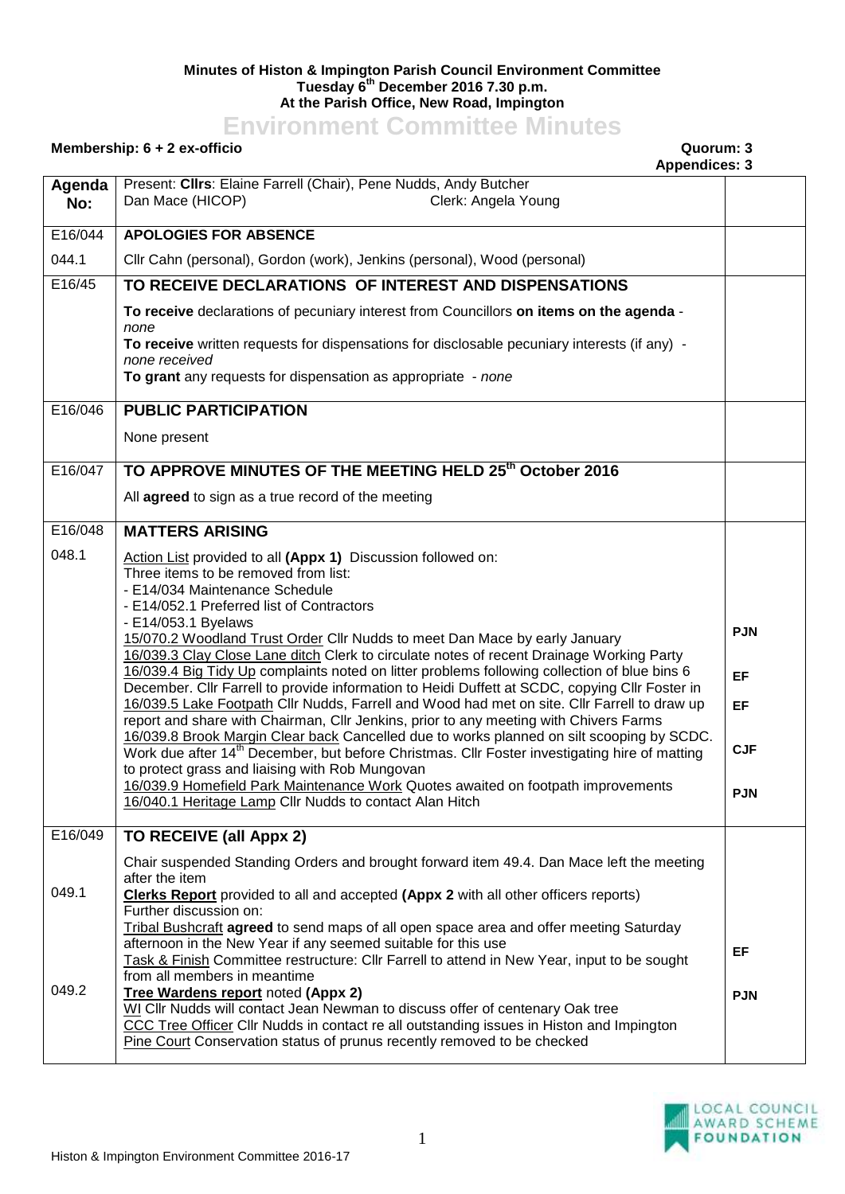## **Minutes of Histon & Impington Parish Council Environment Committee Tuesday 6 th December 2016 7.30 p.m. At the Parish Office, New Road, Impington**

## **Environment Committee Minutes**

## **Membership: 6 + 2 ex-officio Quorum: 3**

## **Appendices: 3**

|               | Apponances.                                                                                                                                                                                                                                                                                                                |            |
|---------------|----------------------------------------------------------------------------------------------------------------------------------------------------------------------------------------------------------------------------------------------------------------------------------------------------------------------------|------------|
| Agenda<br>No: | Present: Clirs: Elaine Farrell (Chair), Pene Nudds, Andy Butcher<br>Dan Mace (HICOP)<br>Clerk: Angela Young                                                                                                                                                                                                                |            |
| E16/044       | <b>APOLOGIES FOR ABSENCE</b>                                                                                                                                                                                                                                                                                               |            |
| 044.1         | Cllr Cahn (personal), Gordon (work), Jenkins (personal), Wood (personal)                                                                                                                                                                                                                                                   |            |
| E16/45        | TO RECEIVE DECLARATIONS OF INTEREST AND DISPENSATIONS                                                                                                                                                                                                                                                                      |            |
|               | To receive declarations of pecuniary interest from Councillors on items on the agenda -<br>none<br>To receive written requests for dispensations for disclosable pecuniary interests (if any) -                                                                                                                            |            |
|               | none received<br>To grant any requests for dispensation as appropriate - none                                                                                                                                                                                                                                              |            |
| E16/046       | <b>PUBLIC PARTICIPATION</b>                                                                                                                                                                                                                                                                                                |            |
|               | None present                                                                                                                                                                                                                                                                                                               |            |
| E16/047       | TO APPROVE MINUTES OF THE MEETING HELD 25th October 2016                                                                                                                                                                                                                                                                   |            |
|               | All agreed to sign as a true record of the meeting                                                                                                                                                                                                                                                                         |            |
| E16/048       | <b>MATTERS ARISING</b>                                                                                                                                                                                                                                                                                                     |            |
| 048.1         | Action List provided to all (Appx 1) Discussion followed on:<br>Three items to be removed from list:<br>- E14/034 Maintenance Schedule<br>- E14/052.1 Preferred list of Contractors                                                                                                                                        |            |
|               | - E14/053.1 Byelaws<br>15/070.2 Woodland Trust Order Cllr Nudds to meet Dan Mace by early January<br>16/039.3 Clay Close Lane ditch Clerk to circulate notes of recent Drainage Working Party                                                                                                                              | <b>PJN</b> |
|               | 16/039.4 Big Tidy Up complaints noted on litter problems following collection of blue bins 6<br>December. Cllr Farrell to provide information to Heidi Duffett at SCDC, copying Cllr Foster in                                                                                                                             | EF         |
|               | 16/039.5 Lake Footpath Cllr Nudds, Farrell and Wood had met on site. Cllr Farrell to draw up<br>report and share with Chairman, Cllr Jenkins, prior to any meeting with Chivers Farms                                                                                                                                      | EF         |
|               | 16/039.8 Brook Margin Clear back Cancelled due to works planned on silt scooping by SCDC.<br>Work due after 14 <sup>th</sup> December, but before Christmas. Cllr Foster investigating hire of matting<br>to protect grass and liaising with Rob Mungovan                                                                  | <b>CJF</b> |
|               | 16/039.9 Homefield Park Maintenance Work Quotes awaited on footpath improvements<br>16/040.1 Heritage Lamp Cllr Nudds to contact Alan Hitch                                                                                                                                                                                | <b>PJN</b> |
| E16/049       | TO RECEIVE (all Appx 2)                                                                                                                                                                                                                                                                                                    |            |
| 049.1         | Chair suspended Standing Orders and brought forward item 49.4. Dan Mace left the meeting<br>after the item<br><b>Clerks Report</b> provided to all and accepted (Appx 2 with all other officers reports)                                                                                                                   |            |
|               | Further discussion on:<br>Tribal Bushcraft agreed to send maps of all open space area and offer meeting Saturday                                                                                                                                                                                                           |            |
|               | afternoon in the New Year if any seemed suitable for this use<br>Task & Finish Committee restructure: Cllr Farrell to attend in New Year, input to be sought                                                                                                                                                               | EF         |
| 049.2         | from all members in meantime<br>Tree Wardens report noted (Appx 2)<br>WI Cllr Nudds will contact Jean Newman to discuss offer of centenary Oak tree<br>CCC Tree Officer Cllr Nudds in contact re all outstanding issues in Histon and Impington<br>Pine Court Conservation status of prunus recently removed to be checked | <b>PJN</b> |
|               |                                                                                                                                                                                                                                                                                                                            |            |